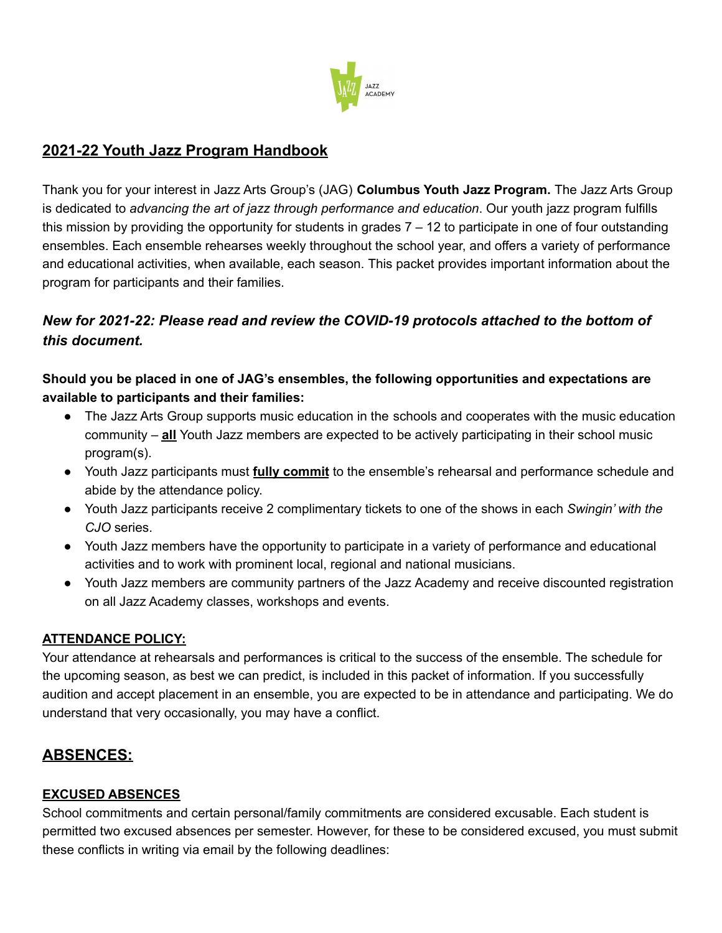

# **2021-22 Youth Jazz Program Handbook**

Thank you for your interest in Jazz Arts Group's (JAG) **Columbus Youth Jazz Program.** The Jazz Arts Group is dedicated to *advancing the art of jazz through performance and education*. Our youth jazz program fulfills this mission by providing the opportunity for students in grades  $7 - 12$  to participate in one of four outstanding ensembles. Each ensemble rehearses weekly throughout the school year, and offers a variety of performance and educational activities, when available, each season. This packet provides important information about the program for participants and their families.

# *New for 2021-22: Please read and review the COVID-19 protocols attached to the bottom of this document.*

**Should you be placed in one of JAG's ensembles, the following opportunities and expectations are available to participants and their families:**

- The Jazz Arts Group supports music education in the schools and cooperates with the music education community – **all** Youth Jazz members are expected to be actively participating in their school music program(s).
- Youth Jazz participants must **fully commit** to the ensemble's rehearsal and performance schedule and abide by the attendance policy.
- Youth Jazz participants receive 2 complimentary tickets to one of the shows in each *Swingin' with the CJO* series.
- Youth Jazz members have the opportunity to participate in a variety of performance and educational activities and to work with prominent local, regional and national musicians.
- Youth Jazz members are community partners of the Jazz Academy and receive discounted registration on all Jazz Academy classes, workshops and events.

### **ATTENDANCE POLICY:**

Your attendance at rehearsals and performances is critical to the success of the ensemble. The schedule for the upcoming season, as best we can predict, is included in this packet of information. If you successfully audition and accept placement in an ensemble, you are expected to be in attendance and participating. We do understand that very occasionally, you may have a conflict.

# **ABSENCES:**

### **EXCUSED ABSENCES**

School commitments and certain personal/family commitments are considered excusable. Each student is permitted two excused absences per semester. However, for these to be considered excused, you must submit these conflicts in writing via email by the following deadlines: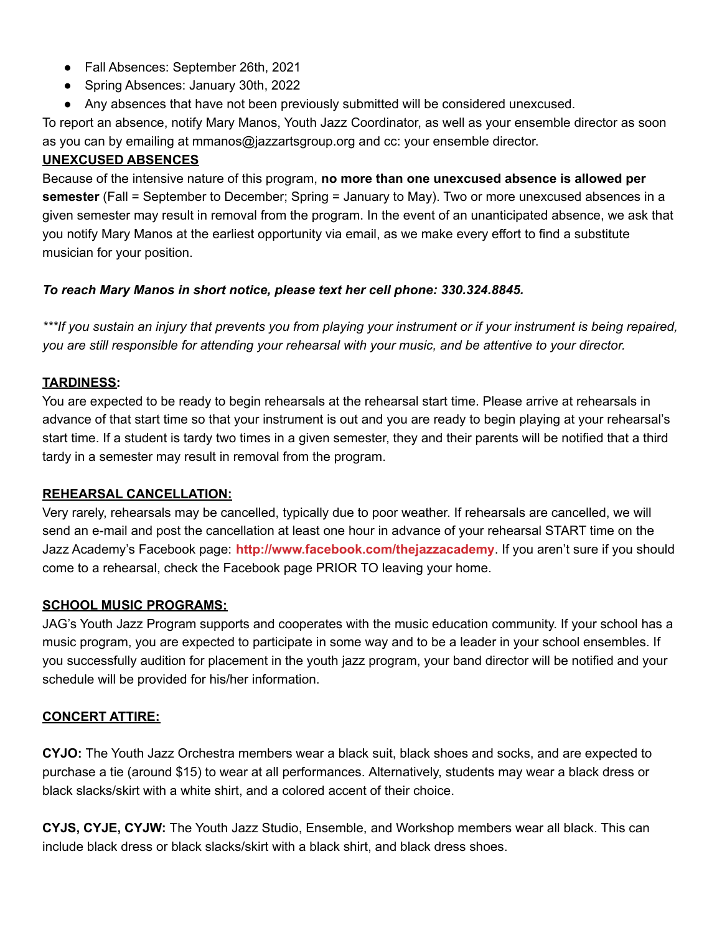- Fall Absences: September 26th, 2021
- Spring Absences: January 30th, 2022
- Any absences that have not been previously submitted will be considered unexcused.

To report an absence, notify Mary Manos, Youth Jazz Coordinator, as well as your ensemble director as soon as you can by emailing at mmanos@jazzartsgroup.org and cc: your ensemble director.

# **UNEXCUSED ABSENCES**

Because of the intensive nature of this program, **no more than one unexcused absence is allowed per semester** (Fall = September to December; Spring = January to May). Two or more unexcused absences in a given semester may result in removal from the program. In the event of an unanticipated absence, we ask that you notify Mary Manos at the earliest opportunity via email, as we make every effort to find a substitute musician for your position.

# *To reach Mary Manos in short notice, please text her cell phone: 330.324.8845.*

\*\*\*If you sustain an injury that prevents you from playing your instrument or if your instrument is being repaired, you are still responsible for attending your rehearsal with your music, and be attentive to your director.

# **TARDINESS:**

You are expected to be ready to begin rehearsals at the rehearsal start time. Please arrive at rehearsals in advance of that start time so that your instrument is out and you are ready to begin playing at your rehearsal's start time. If a student is tardy two times in a given semester, they and their parents will be notified that a third tardy in a semester may result in removal from the program.

### **REHEARSAL CANCELLATION:**

Very rarely, rehearsals may be cancelled, typically due to poor weather. If rehearsals are cancelled, we will send an e-mail and post the cancellation at least one hour in advance of your rehearsal START time on the Jazz Academy's Facebook page: **<http://www.facebook.com/thejazzacademy>**. If you aren't sure if you should come to a rehearsal, check the Facebook page PRIOR TO leaving your home.

# **SCHOOL MUSIC PROGRAMS:**

JAG's Youth Jazz Program supports and cooperates with the music education community. If your school has a music program, you are expected to participate in some way and to be a leader in your school ensembles. If you successfully audition for placement in the youth jazz program, your band director will be notified and your schedule will be provided for his/her information.

### **CONCERT ATTIRE:**

**CYJO:** The Youth Jazz Orchestra members wear a black suit, black shoes and socks, and are expected to purchase a tie (around \$15) to wear at all performances. Alternatively, students may wear a black dress or black slacks/skirt with a white shirt, and a colored accent of their choice.

**CYJS, CYJE, CYJW:** The Youth Jazz Studio, Ensemble, and Workshop members wear all black. This can include black dress or black slacks/skirt with a black shirt, and black dress shoes.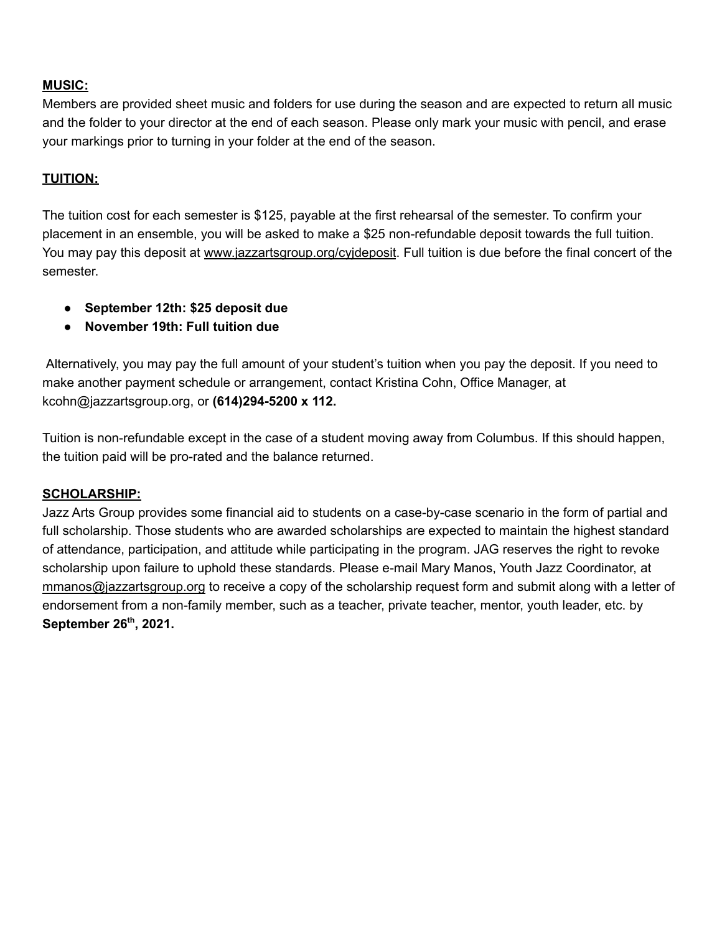## **MUSIC:**

Members are provided sheet music and folders for use during the season and are expected to return all music and the folder to your director at the end of each season. Please only mark your music with pencil, and erase your markings prior to turning in your folder at the end of the season.

# **TUITION:**

The tuition cost for each semester is \$125, payable at the first rehearsal of the semester. To confirm your placement in an ensemble, you will be asked to make a \$25 non-refundable deposit towards the full tuition. You may pay this deposit at [www.jazzartsgroup.org/cyjdeposit](http://www.jazzartsgroup.org/cyjdeposit). Full tuition is due before the final concert of the semester.

- **● September 12th: \$25 deposit due**
- **● November 19th: Full tuition due**

Alternatively, you may pay the full amount of your student's tuition when you pay the deposit. If you need to make another payment schedule or arrangement, contact Kristina Cohn, Office Manager, at kcohn@jazzartsgroup.org, or **(614)294-5200 x 112.**

Tuition is non-refundable except in the case of a student moving away from Columbus. If this should happen, the tuition paid will be pro-rated and the balance returned.

### **SCHOLARSHIP:**

Jazz Arts Group provides some financial aid to students on a case-by-case scenario in the form of partial and full scholarship. Those students who are awarded scholarships are expected to maintain the highest standard of attendance, participation, and attitude while participating in the program. JAG reserves the right to revoke scholarship upon failure to uphold these standards. Please e-mail Mary Manos, Youth Jazz Coordinator, at [mmanos@jazzartsgroup.org](mailto:mmanos@jazzartsgroup.org) to receive a copy of the scholarship request form and submit along with a letter of endorsement from a non-family member, such as a teacher, private teacher, mentor, youth leader, etc. by **September 26 th , 2021.**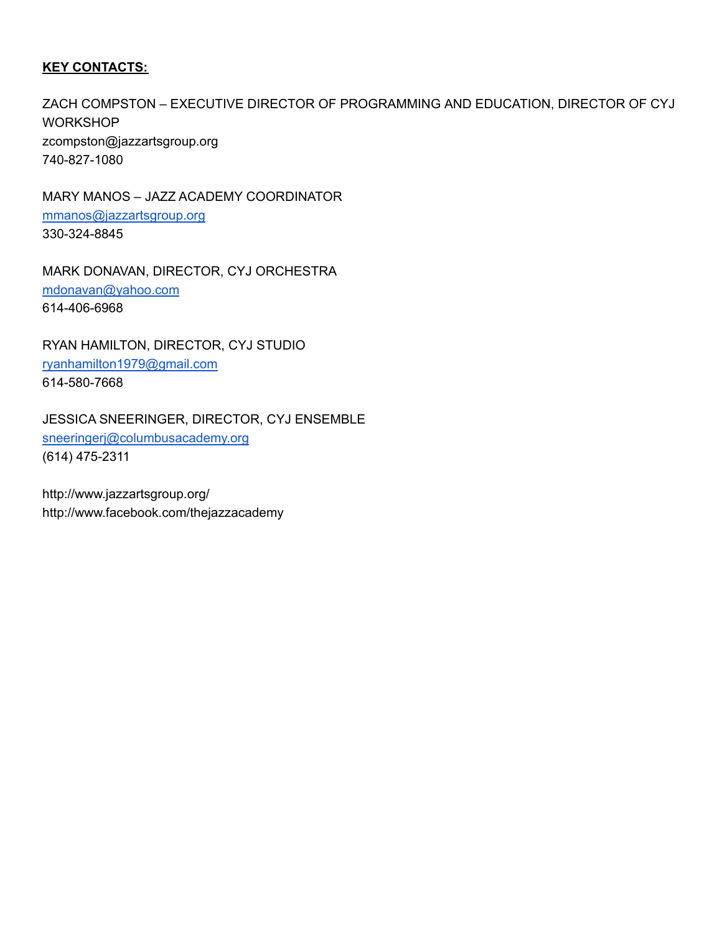### **KEY CONTACTS:**

ZACH COMPSTON – EXECUTIVE DIRECTOR OF PROGRAMMING AND EDUCATION, DIRECTOR OF CYJ **WORKSHOP** [zcompston@jazzartsgroup.org](mailto:zcompston@jazzartsgroup.org) 740-827-1080

MARY MANOS – JAZZ ACADEMY COORDINATOR [mmanos@jazzartsgroup.org](mailto:mmanos@jazzartsgroup.org) 330-324-8845

MARK DONAVAN, DIRECTOR, CYJ ORCHESTRA [mdonavan@yahoo.com](mailto:mdonavan@yahoo.com) 614-406-6968

RYAN HAMILTON, DIRECTOR, CYJ STUDIO [ryanhamilton1979@gmail.com](mailto:ryanhamilton1979@gmail.com) 614-580-7668

JESSICA SNEERINGER, DIRECTOR, CYJ ENSEMBLE [sneeringerj@columbusacademy.org](mailto:sneeringerj@columbusacademy.org) (614) 475-2311

<http://www.jazzartsgroup.org/> <http://www.facebook.com/thejazzacademy>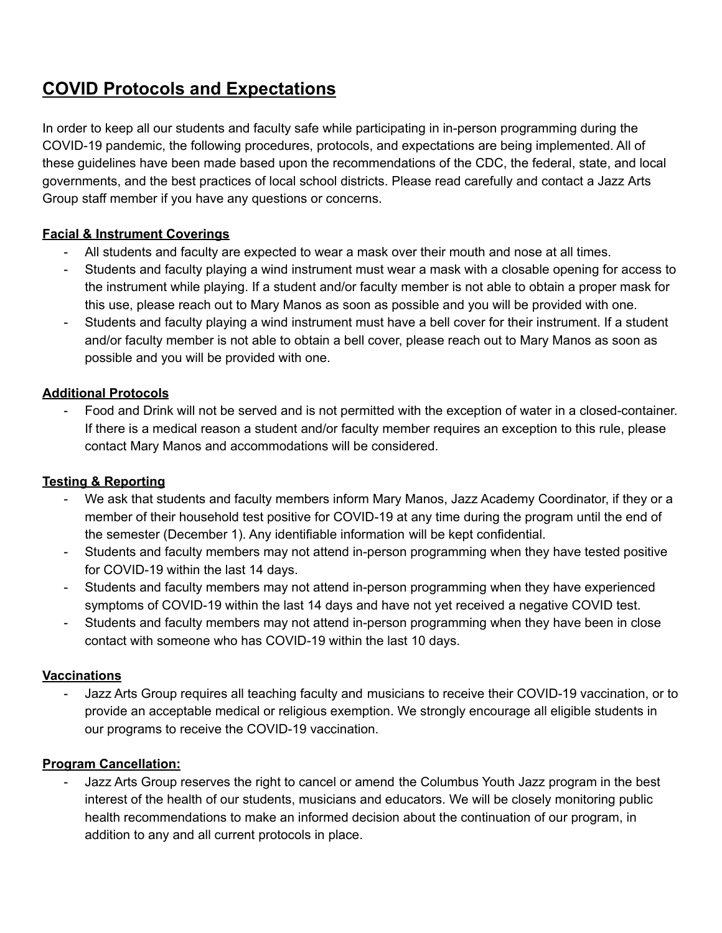# **COVID Protocols and Expectations**

In order to keep all our students and faculty safe while participating in in-person programming during the COVID-19 pandemic, the following procedures, protocols, and expectations are being implemented. All of these guidelines have been made based upon the recommendations of the CDC, the federal, state, and local governments, and the best practices of local school districts. Please read carefully and contact a Jazz Arts Group staff member if you have any questions or concerns.

# **Facial & Instrument Coverings**

- All students and faculty are expected to wear a mask over their mouth and nose at all times.
- Students and faculty playing a wind instrument must wear a mask with a closable opening for access to the instrument while playing. If a student and/or faculty member is not able to obtain a proper mask for this use, please reach out to Mary Manos as soon as possible and you will be provided with one.
- Students and faculty playing a wind instrument must have a bell cover for their instrument. If a student and/or faculty member is not able to obtain a bell cover, please reach out to Mary Manos as soon as possible and you will be provided with one.

# **Additional Protocols**

Food and Drink will not be served and is not permitted with the exception of water in a closed-container. If there is a medical reason a student and/or faculty member requires an exception to this rule, please contact Mary Manos and accommodations will be considered.

### **Testing & Reporting**

- We ask that students and faculty members inform Mary Manos, Jazz Academy Coordinator, if they or a member of their household test positive for COVID-19 at any time during the program until the end of the semester (December 1). Any identifiable information will be kept confidential.
- Students and faculty members may not attend in-person programming when they have tested positive for COVID-19 within the last 14 days.
- Students and faculty members may not attend in-person programming when they have experienced symptoms of COVID-19 within the last 14 days and have not yet received a negative COVID test.
- Students and faculty members may not attend in-person programming when they have been in close contact with someone who has COVID-19 within the last 10 days.

### **Vaccinations**

- Jazz Arts Group requires all teaching faculty and musicians to receive their COVID-19 vaccination, or to provide an acceptable medical or religious exemption. We strongly encourage all eligible students in our programs to receive the COVID-19 vaccination.

### **Program Cancellation:**

Jazz Arts Group reserves the right to cancel or amend the Columbus Youth Jazz program in the best interest of the health of our students, musicians and educators. We will be closely monitoring public health recommendations to make an informed decision about the continuation of our program, in addition to any and all current protocols in place.